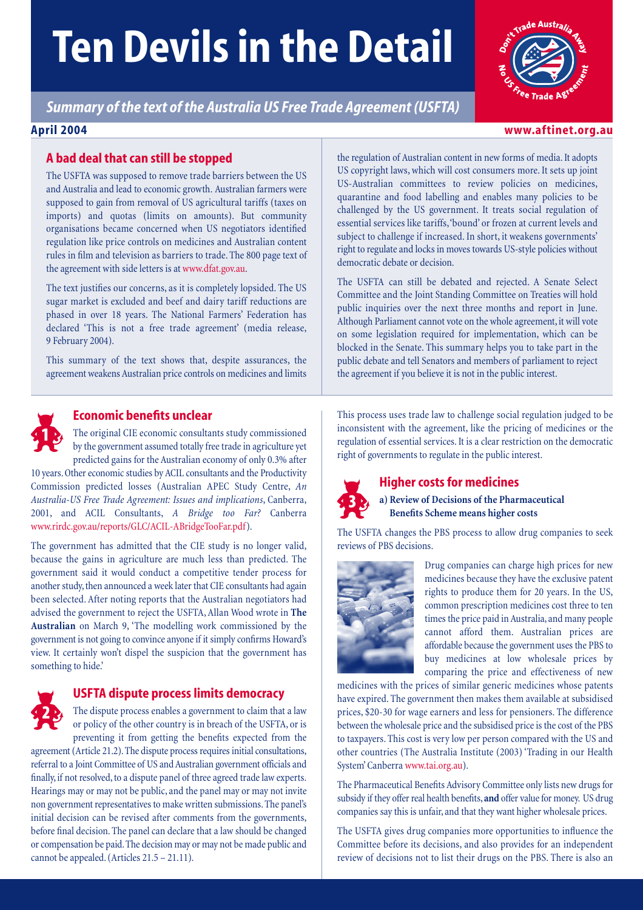# **Ten Devils in the Detail**

*Summary of the text of the Australia US Free Trade Agreement (USFTA)*

# **A bad deal that can still be stopped**

The USFTA was supposed to remove trade barriers between the US and Australia and lead to economic growth. Australian farmers were supposed to gain from removal of US agricultural tariffs (taxes on imports) and quotas (limits on amounts). But community organisations became concerned when US negotiators identified regulation like price controls on medicines and Australian content rules in film and television as barriers to trade. The 800 page text of the agreement with side letters is at www.dfat.gov.au.

The text justifies our concerns, as it is completely lopsided. The US sugar market is excluded and beef and dairy tariff reductions are phased in over 18 years. The National Farmers' Federation has declared 'This is not a free trade agreement' (media release, 9 February 2004).

This summary of the text shows that, despite assurances, the agreement weakens Australian price controls on medicines and limits



# **Economic benefits unclear**

The original CIE economic consultants study commissioned by the government assumed totally free trade in agriculture yet predicted gains for the Australian economy of only 0.3% after

10 years. Other economic studies by ACIL consultants and the Productivity Commission predicted losses (Australian APEC Study Centre, *An Australia-US Free Trade Agreement: Issues and implications*, Canberra, 2001, and ACIL Consultants, *A Bridge too Far?* Canberra www.rirdc.gov.au/reports/GLC/ACIL-ABridgeTooFar.pdf).

The government has admitted that the CIE study is no longer valid, because the gains in agriculture are much less than predicted. The government said it would conduct a competitive tender process for another study, then announced a week later that CIE consultants had again been selected. After noting reports that the Australian negotiators had advised the government to reject the USFTA, Allan Wood wrote in **The Australian** on March 9, 'The modelling work commissioned by the government is not going to convince anyone if it simply confirms Howard's view. It certainly won't dispel the suspicion that the government has something to hide.'



# **USFTA dispute process limits democracy**

The dispute process enables a government to claim that a law or policy of the other country is in breach of the USFTA, or is preventing it from getting the benefits expected from the

agreement (Article 21.2). The dispute process requires initial consultations, referral to a Joint Committee of US and Australian government officials and finally, if not resolved, to a dispute panel of three agreed trade law experts. Hearings may or may not be public, and the panel may or may not invite non government representatives to make written submissions. The panel's initial decision can be revised after comments from the governments, before final decision. The panel can declare that a law should be changed or compensation be paid. The decision may or may not be made public and cannot be appealed. (Articles 21.5 – 21.11).

the regulation of Australian content in new forms of media. It adopts US copyright laws, which will cost consumers more. It sets up joint US-Australian committees to review policies on medicines, quarantine and food labelling and enables many policies to be challenged by the US government. It treats social regulation of essential services like tariffs,'bound' or frozen at current levels and subject to challenge if increased. In short, it weakens governments' right to regulate and locks in moves towards US-style policies without democratic debate or decision.

The USFTA can still be debated and rejected. A Senate Select Committee and the Joint Standing Committee on Treaties will hold public inquiries over the next three months and report in June. Although Parliament cannot vote on the whole agreement, it will vote on some legislation required for implementation, which can be blocked in the Senate. This summary helps you to take part in the public debate and tell Senators and members of parliament to reject the agreement if you believe it is not in the public interest.

This process uses trade law to challenge social regulation judged to be inconsistent with the agreement, like the pricing of medicines or the regulation of essential services. It is a clear restriction on the democratic right of governments to regulate in the public interest.



# **Higher costs for medicines**

**a) Review of Decisions of the Pharmaceutical Benefits Scheme means higher costs**

The USFTA changes the PBS process to allow drug companies to seek reviews of PBS decisions.



Drug companies can charge high prices for new medicines because they have the exclusive patent rights to produce them for 20 years. In the US, common prescription medicines cost three to ten times the price paid in Australia, and many people cannot afford them. Australian prices are affordable because the government uses the PBS to buy medicines at low wholesale prices by comparing the price and effectiveness of new

medicines with the prices of similar generic medicines whose patents have expired. The government then makes them available at subsidised prices, \$20-30 for wage earners and less for pensioners. The difference between the wholesale price and the subsidised price is the cost of the PBS to taxpayers. This cost is very low per person compared with the US and other countries (The Australia Institute (2003) 'Trading in our Health System' Canberra www.tai.org.au).

The Pharmaceutical Benefits Advisory Committee only lists new drugs for subsidy if they offer real health benefits,**and** offer value for money. US drug companies say this is unfair, and that they want higher wholesale prices.

The USFTA gives drug companies more opportunities to influence the Committee before its decisions, and also provides for an independent review of decisions not to list their drugs on the PBS. There is also an



# **April 2004 www.aftinet.org.au**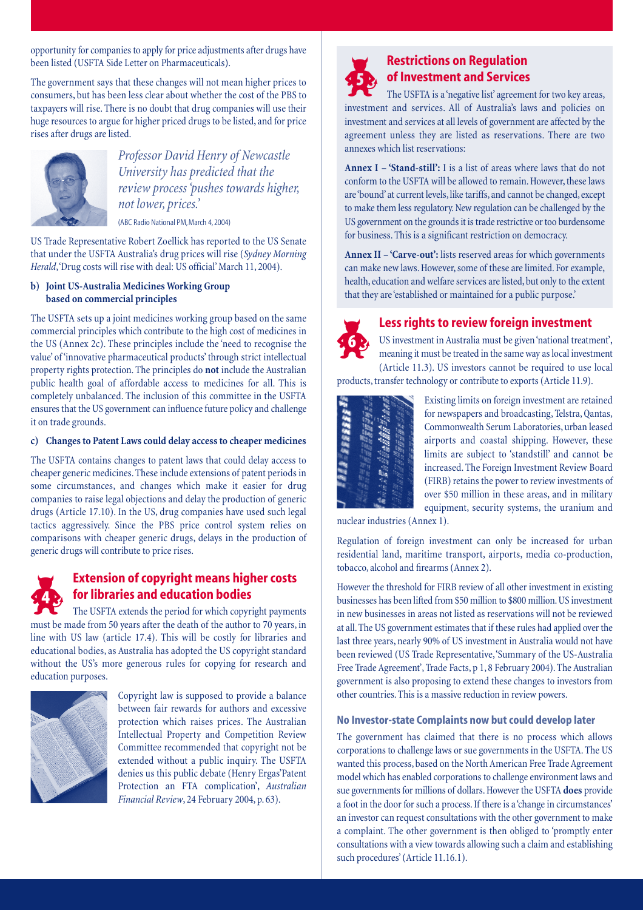opportunity for companies to apply for price adjustments after drugs have been listed (USFTA Side Letter on Pharmaceuticals).

The government says that these changes will not mean higher prices to consumers, but has been less clear about whether the cost of the PBS to taxpayers will rise. There is no doubt that drug companies will use their huge resources to argue for higher priced drugs to be listed, and for price rises after drugs are listed.



*Professor David Henry of Newcastle University has predicted that the review process 'pushes towards higher, not lower, prices.'*

(ABC Radio National PM, March 4, 2004)

US Trade Representative Robert Zoellick has reported to the US Senate that under the USFTA Australia's drug prices will rise (*Sydney Morning Herald*,'Drug costs will rise with deal: US official' March 11, 2004).

## **b) Joint US-Australia Medicines Working Group based on commercial principles**

The USFTA sets up a joint medicines working group based on the same commercial principles which contribute to the high cost of medicines in the US (Annex 2c). These principles include the 'need to recognise the value' of 'innovative pharmaceutical products' through strict intellectual property rights protection. The principles do **not** include the Australian public health goal of affordable access to medicines for all. This is completely unbalanced. The inclusion of this committee in the USFTA ensures that the US government can influence future policy and challenge it on trade grounds.

#### **c) Changes to Patent Laws could delay access to cheaper medicines**

The USFTA contains changes to patent laws that could delay access to cheaper generic medicines. These include extensions of patent periods in some circumstances, and changes which make it easier for drug companies to raise legal objections and delay the production of generic drugs (Article 17.10). In the US, drug companies have used such legal tactics aggressively. Since the PBS price control system relies on comparisons with cheaper generic drugs, delays in the production of generic drugs will contribute to price rises.

# \*

# **Extension of copyright means higher costs for libraries and education bodies**

The USFTA extends the period for which copyright payments must be made from 50 years after the death of the author to 70 years, in line with US law (article 17.4). This will be costly for libraries and educational bodies, as Australia has adopted the US copyright standard without the US's more generous rules for copying for research and education purposes.



Copyright law is supposed to provide a balance between fair rewards for authors and excessive protection which raises prices. The Australian Intellectual Property and Competition Review Committee recommended that copyright not be extended without a public inquiry. The USFTA denies us this public debate (Henry Ergas'Patent Protection an FTA complication', *Australian Financial Review*, 24 February 2004, p. 63).



# **Restrictions on Regulation of Investment and Services**

The USFTA is a 'negative list' agreement for two key areas, investment and services. All of Australia's laws and policies on investment and services at all levels of government are affected by the agreement unless they are listed as reservations. There are two annexes which list reservations:

**Annex I – 'Stand-still':** I is a list of areas where laws that do not conform to the USFTA will be allowed to remain. However, these laws are 'bound' at current levels, like tariffs, and cannot be changed, except to make them less regulatory. New regulation can be challenged by the US government on the grounds it is trade restrictive or too burdensome for business. This is a significant restriction on democracy.

**Annex II – 'Carve-out':** lists reserved areas for which governments can make new laws. However, some of these are limited. For example, health, education and welfare services are listed, but only to the extent that they are 'established or maintained for a public purpose.'



# **Less rights to review foreign investment**

US investment in Australia must be given 'national treatment', meaning it must be treated in the same way as local investment (Article 11.3). US investors cannot be required to use local products, transfer technology or contribute to exports (Article 11.9).

| 888 <b>888</b> | $\frac{1}{3} \frac{1}{9} \frac{1}{6} \frac{1}{6} \frac{1}{6} \frac{1}{6} \frac{1}{6} \frac{1}{6} \frac{1}{6} \frac{1}{6}$ | $\begin{array}{l} \frac{1}{2} \frac{1}{2} \frac{1}{2} \frac{1}{2} \frac{1}{2} \frac{1}{2} \frac{1}{2} \frac{1}{2} \frac{1}{2} \frac{1}{2} \frac{1}{2} \frac{1}{2} \frac{1}{2} \frac{1}{2} \frac{1}{2} \frac{1}{2} \frac{1}{2} \frac{1}{2} \frac{1}{2} \frac{1}{2} \frac{1}{2} \frac{1}{2} \frac{1}{2} \frac{1}{2} \frac{1}{2} \frac{1}{2} \frac{1}{2} \frac{1}{2} \frac{1}{2} \frac{1}{2} \frac{$ |  |
|----------------|---------------------------------------------------------------------------------------------------------------------------|---------------------------------------------------------------------------------------------------------------------------------------------------------------------------------------------------------------------------------------------------------------------------------------------------------------------------------------------------------------------------------------------------|--|
|                |                                                                                                                           |                                                                                                                                                                                                                                                                                                                                                                                                   |  |

Existing limits on foreign investment are retained for newspapers and broadcasting, Telstra, Qantas, Commonwealth Serum Laboratories, urban leased airports and coastal shipping. However, these limits are subject to 'standstill' and cannot be increased. The Foreign Investment Review Board (FIRB) retains the power to review investments of over \$50 million in these areas, and in military equipment, security systems, the uranium and

nuclear industries (Annex 1).

Regulation of foreign investment can only be increased for urban residential land, maritime transport, airports, media co-production, tobacco, alcohol and firearms (Annex 2).

However the threshold for FIRB review of all other investment in existing businesses has been lifted from \$50 million to \$800 million. US investment in new businesses in areas not listed as reservations will not be reviewed at all. The US government estimates that if these rules had applied over the last three years, nearly 90% of US investment in Australia would not have been reviewed (US Trade Representative,'Summary of the US-Australia Free Trade Agreement', Trade Facts, p 1, 8 February 2004). The Australian government is also proposing to extend these changes to investors from other countries. This is a massive reduction in review powers.

# **No Investor-state Complaints now but could develop later**

The government has claimed that there is no process which allows corporations to challenge laws or sue governments in the USFTA. The US wanted this process, based on the North American Free Trade Agreement model which has enabled corporations to challenge environment laws and sue governments for millions of dollars. However the USFTA **does** provide a foot in the door for such a process. If there is a 'change in circumstances' an investor can request consultations with the other government to make a complaint. The other government is then obliged to 'promptly enter consultations with a view towards allowing such a claim and establishing such procedures' (Article 11.16.1).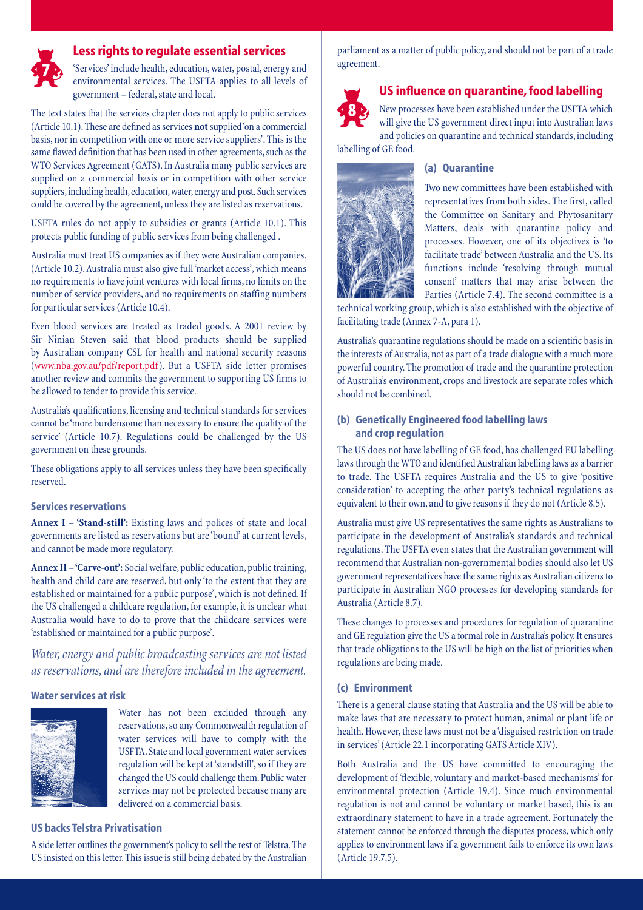

# **Less rights to regulate essential services**

'Services' include health, education, water, postal, energy and environmental services. The USFTA applies to all levels of government – federal, state and local.

The text states that the services chapter does not apply to public services (Article 10.1). These are defined as services **not**supplied 'on a commercial basis, nor in competition with one or more service suppliers'. This is the same flawed definition that has been used in other agreements, such as the WTO Services Agreement (GATS). In Australia many public services are supplied on a commercial basis or in competition with other service suppliers, including health, education, water, energy and post. Such services could be covered by the agreement, unless they are listed as reservations.

USFTA rules do not apply to subsidies or grants (Article 10.1). This protects public funding of public services from being challenged .

Australia must treat US companies as if they were Australian companies. (Article 10.2). Australia must also give full 'market access', which means no requirements to have joint ventures with local firms, no limits on the number of service providers, and no requirements on staffing numbers for particular services (Article 10.4).

Even blood services are treated as traded goods. A 2001 review by Sir Ninian Steven said that blood products should be supplied by Australian company CSL for health and national security reasons (www.nba.gov.au/pdf/report.pdf). But a USFTA side letter promises another review and commits the government to supporting US firms to be allowed to tender to provide this service.

Australia's qualifications, licensing and technical standards for services cannot be 'more burdensome than necessary to ensure the quality of the service' (Article 10.7). Regulations could be challenged by the US government on these grounds.

These obligations apply to all services unless they have been specifically reserved.

### **Services reservations**

**Annex I – 'Stand-still':** Existing laws and polices of state and local governments are listed as reservations but are 'bound' at current levels, and cannot be made more regulatory.

**Annex II – 'Carve-out':** Social welfare, public education, public training, health and child care are reserved, but only 'to the extent that they are established or maintained for a public purpose', which is not defined. If the US challenged a childcare regulation, for example, it is unclear what Australia would have to do to prove that the childcare services were 'established or maintained for a public purpose'.

*Water, energy and public broadcasting services are not listed as reservations, and are therefore included in the agreement.*

### **Water services at risk**



Water has not been excluded through any reservations, so any Commonwealth regulation of water services will have to comply with the USFTA. State and local government water services regulation will be kept at'standstill',so if they are changed the US could challenge them. Public water services may not be protected because many are delivered on a commercial basis.

#### **US backs Telstra Privatisation**

A side letter outlines the government's policy to sell the rest of Telstra. The US insisted on this letter. This issue is still being debated by the Australian

parliament as a matter of public policy, and should not be part of a trade agreement.



# **US influence on quarantine, food labelling**

New processes have been established under the USFTA which will give the US government direct input into Australian laws and policies on quarantine and technical standards, including labelling of GE food.



### **(a) Quarantine**

Two new committees have been established with representatives from both sides. The first, called the Committee on Sanitary and Phytosanitary Matters, deals with quarantine policy and processes. However, one of its objectives is 'to facilitate trade' between Australia and the US. Its functions include 'resolving through mutual consent' matters that may arise between the Parties (Article 7.4). The second committee is a

technical working group, which is also established with the objective of facilitating trade (Annex 7-A, para 1).

Australia's quarantine regulations should be made on a scientific basis in the interests of Australia, not as part of a trade dialogue with a much more powerful country. The promotion of trade and the quarantine protection of Australia's environment, crops and livestock are separate roles which should not be combined.

#### **(b) Genetically Engineered food labelling laws and crop regulation**

The US does not have labelling of GE food, has challenged EU labelling laws through the WTO and identified Australian labelling laws as a barrier to trade. The USFTA requires Australia and the US to give 'positive consideration' to accepting the other party's technical regulations as equivalent to their own, and to give reasons if they do not (Article 8.5).

Australia must give US representatives the same rights as Australians to participate in the development of Australia's standards and technical regulations. The USFTA even states that the Australian government will recommend that Australian non-governmental bodies should also let US government representatives have the same rights as Australian citizens to participate in Australian NGO processes for developing standards for Australia (Article 8.7).

These changes to processes and procedures for regulation of quarantine and GE regulation give the US a formal role in Australia's policy. It ensures that trade obligations to the US will be high on the list of priorities when regulations are being made.

#### **(c) Environment**

There is a general clause stating that Australia and the US will be able to make laws that are necessary to protect human, animal or plant life or health. However, these laws must not be a 'disguised restriction on trade in services' (Article 22.1 incorporating GATS Article XIV).

Both Australia and the US have committed to encouraging the development of 'flexible, voluntary and market-based mechanisms' for environmental protection (Article 19.4). Since much environmental regulation is not and cannot be voluntary or market based, this is an extraordinary statement to have in a trade agreement. Fortunately the statement cannot be enforced through the disputes process, which only applies to environment laws if a government fails to enforce its own laws (Article 19.7.5).